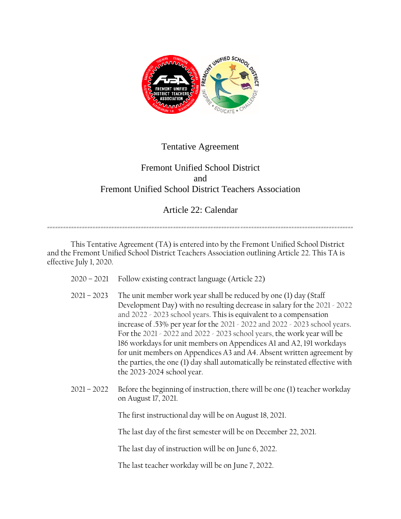

## Tentative Agreement

## Fremont Unified School District and Fremont Unified School District Teachers Association

## Article 22: Calendar

==================================================================================================================

This Tentative Agreement (TA) is entered into by the Fremont Unified School District and the Fremont Unified School District Teachers Association outlining Article 22. This TA is effective July 1, 2020.

- 2020 2021 Follow existing contract language (Article 22)
- 2021 2023 The unit member work year shall be reduced by one (1) day (Staff Development Day) with no resulting decrease in salary for the 2021 - 2022 and 2022 - 2023 school years. This is equivalent to a compensation increase of .53% per year for the 2021 - 2022 and 2022 - 2023 school years. For the 2021 - 2022 and 2022 - 2023 school years, the work year will be 186 workdays for unit members on Appendices A1 and A2, 191 workdays for unit members on Appendices A3 and A4. Absent written agreement by the parties, the one (1) day shall automatically be reinstated effective with the 2023-2024 school year.
- 2021 2022 Before the beginning of instruction, there will be one (1) teacher workday on August 17, 2021.

The first instructional day will be on August 18, 2021.

The last day of the first semester will be on December 22, 2021.

The last day of instruction will be on June 6, 2022.

The last teacher workday will be on June 7, 2022.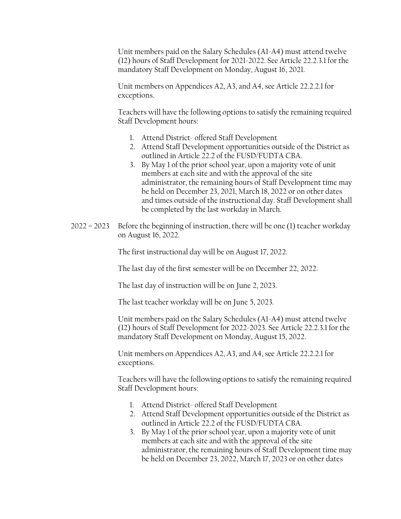Unit members paid on the Salary Schedules (A1-A4) must attend twelve (12) hours of Staff Development for 2021-2022. See Article 22.2.3.1 for the mandatory Staff Development on Monday, August 16, 2021.

Unit members on Appendices A2, A3, and A4, see Article 22.2.2.1 for exceptions.

Teachers will have the following options to satisfy the remaining required Staff Development hours:

- 1. Attend District- offered Staff Development
- 2. Attend Staff Development opportunities outside of the District as outlined in Article 22.2 of the FUSD/FUDTA CBA.
- 3. By May 1 of the prior school year, upon a majority vote of unit members at each site and with the approval of the site administrator, the remaining hours of Staff Development time may be held on December 23, 2021, March 18, 2022 or on other dates and times outside of the instructional day. Staff Development shall be completed by the last workday in March.
- 2022 2023 Before the beginning of instruction, there will be one (1) teacher workday on August 16, 2022.

The first instructional day will be on August 17, 2022.

The last day of the first semester will be on December 22, 2022.

The last day of instruction will be on June 2, 2023.

The last teacher workday will be on June 5, 2023.

Unit members paid on the Salary Schedules (A1-A4) must attend twelve (12) hours of Staff Development for 2022-2023. See Article 22.2.3.1 for the mandatory Staff Development on Monday, August 15, 2022.

Unit members on Appendices A2, A3, and A4, see Article 22.2.2.1 for exceptions.

Teachers will have the following options to satisfy the remaining required Staff Development hours:

- 1. Attend District- offered Staff Development
- 2. Attend Staff Development opportunities outside of the District as outlined in Article 22.2 of the FUSD/FUDTA CBA.
- 3. By May 1 of the prior school year, upon a majority vote of unit members at each site and with the approval of the site administrator, the remaining hours of Staff Development time may be held on December 23, 2022, March 17, 2023 or on other dates